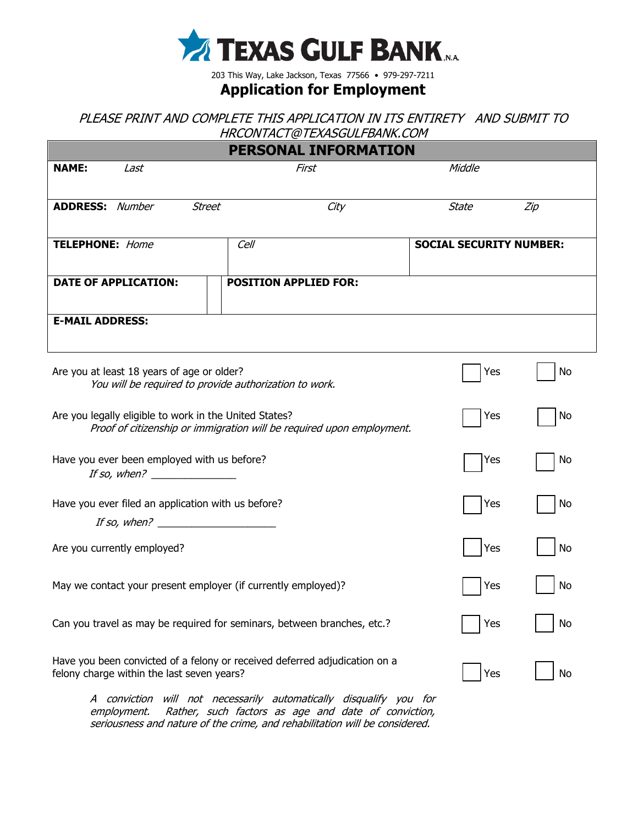

203 This Way, Lake Jackson, Texas 77566 • 979-297-7211

## **Application for Employment**

PLEASE PRINT AND COMPLETE THIS APPLICATION IN ITS ENTIRETY AND SUBMIT TO HRCONTACT@TEXASGULFBANK.COM

|                                                                                                                                 | PERSONAL INFORMATION         |                                |     |
|---------------------------------------------------------------------------------------------------------------------------------|------------------------------|--------------------------------|-----|
| <b>NAME:</b><br>Last                                                                                                            | First                        | Middle                         |     |
| <b>ADDRESS: Number</b><br><b>Street</b>                                                                                         | City                         | <b>State</b>                   | Zip |
| <b>TELEPHONE:</b> Home                                                                                                          | Cell                         | <b>SOCIAL SECURITY NUMBER:</b> |     |
| <b>DATE OF APPLICATION:</b>                                                                                                     | <b>POSITION APPLIED FOR:</b> |                                |     |
| <b>E-MAIL ADDRESS:</b>                                                                                                          |                              |                                |     |
| Are you at least 18 years of age or older?<br>You will be required to provide authorization to work.                            |                              | Yes                            | No  |
| Are you legally eligible to work in the United States?<br>Proof of citizenship or immigration will be required upon employment. |                              | Yes                            | No  |
| Have you ever been employed with us before?<br>If so, when? $\frac{1}{2}$                                                       |                              | Yes                            | No  |
| Have you ever filed an application with us before?<br>If so, when? $\qquad \qquad$                                              |                              | Yes                            | No  |
| Are you currently employed?                                                                                                     |                              | Yes                            | No  |
| May we contact your present employer (if currently employed)?                                                                   |                              | Yes                            | No  |
| Can you travel as may be required for seminars, between branches, etc.?                                                         |                              | Yes                            | No  |
| Have you been convicted of a felony or received deferred adjudication on a<br>felony charge within the last seven years?        |                              | Yes                            | No  |
|                                                                                                                                 |                              |                                |     |

A conviction will not necessarily automatically disqualify you for employment. Rather, such factors as age and date of conviction, seriousness and nature of the crime, and rehabilitation will be considered.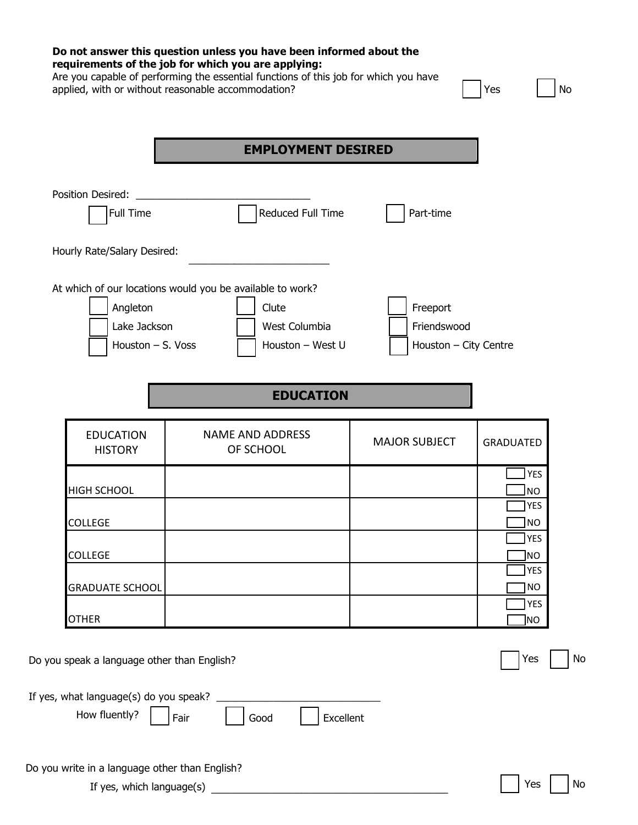|                                             | <b>EMPLOYMENT DESIRED</b>                                 |                       |                         |
|---------------------------------------------|-----------------------------------------------------------|-----------------------|-------------------------|
| Position Desired:                           |                                                           |                       |                         |
| Full Time                                   | Reduced Full Time                                         | Part-time             |                         |
| Hourly Rate/Salary Desired:                 |                                                           |                       |                         |
|                                             | At which of our locations would you be available to work? |                       |                         |
| Angleton                                    | Clute                                                     | Freeport              |                         |
| Lake Jackson                                | West Columbia                                             | Friendswood           |                         |
| Houston - S. Voss                           | Houston - West U                                          | Houston - City Centre |                         |
|                                             | <b>EDUCATION</b>                                          |                       |                         |
| <b>EDUCATION</b><br><b>HISTORY</b>          | <b>NAME AND ADDRESS</b><br>OF SCHOOL                      | <b>MAJOR SUBJECT</b>  | <b>GRADUATED</b>        |
| <b>HIGH SCHOOL</b>                          |                                                           |                       | <b>YES</b><br><b>NO</b> |
|                                             |                                                           |                       | <b>YES</b>              |
| COLLEGE                                     |                                                           |                       | <b>NO</b><br><b>YES</b> |
| <b>COLLEGE</b>                              |                                                           |                       | NO                      |
|                                             |                                                           |                       | <b>YES</b>              |
| <b>GRADUATE SCHOOL</b>                      |                                                           |                       | <b>NO</b><br><b>YES</b> |
| <b>OTHER</b>                                |                                                           |                       | NO.                     |
|                                             |                                                           |                       |                         |
| Do you speak a language other than English? |                                                           |                       | Yes                     |
| If yes, what language(s) do you speak?      |                                                           |                       |                         |
| How fluently?                               | Fair<br>Excellent<br>Good                                 |                       |                         |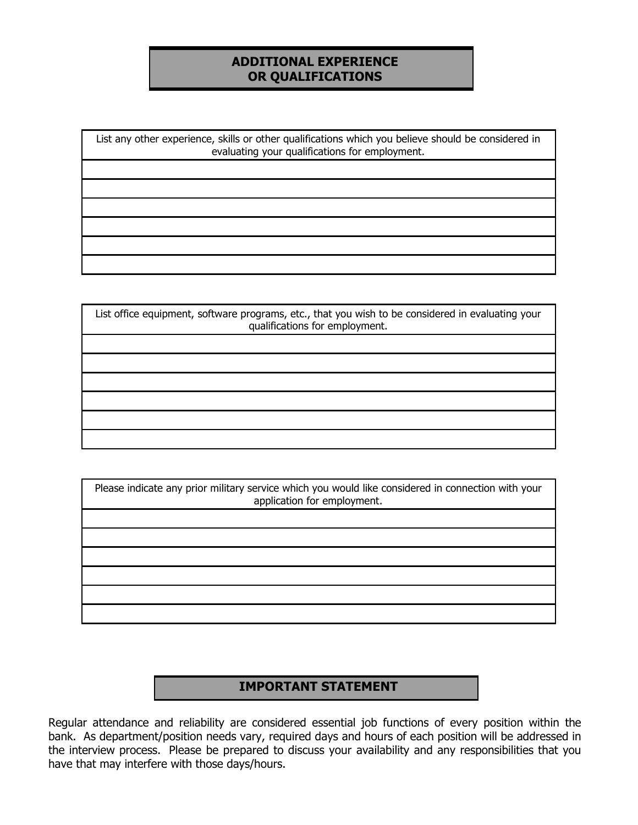### **ADDITIONAL EXPERIENCE OR QUALIFICATIONS**

List any other experience, skills or other qualifications which you believe should be considered in evaluating your qualifications for employment.

| List office equipment, software programs, etc., that you wish to be considered in evaluating your<br>qualifications for employment. |
|-------------------------------------------------------------------------------------------------------------------------------------|
|                                                                                                                                     |
|                                                                                                                                     |
|                                                                                                                                     |
|                                                                                                                                     |
|                                                                                                                                     |
|                                                                                                                                     |

Please indicate any prior military service which you would like considered in connection with your application for employment.

## **IMPORTANT STATEMENT**

Regular attendance and reliability are considered essential job functions of every position within the bank. As department/position needs vary, required days and hours of each position will be addressed in the interview process. Please be prepared to discuss your availability and any responsibilities that you have that may interfere with those days/hours.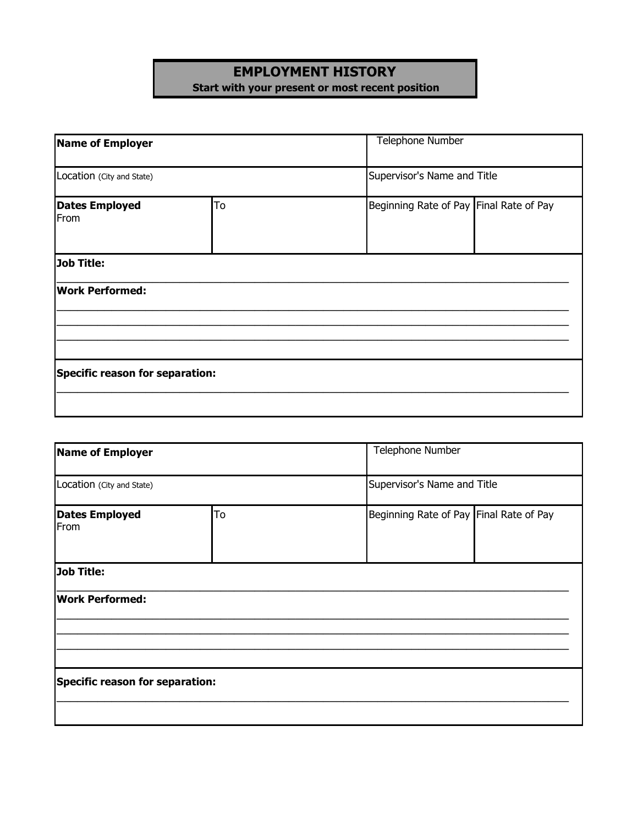# **EMPLOYMENT HISTORY Start with your present or most recent position**

| Name of Employer<br>Location (City and State) |                                               | <b>Telephone Number</b>     |
|-----------------------------------------------|-----------------------------------------------|-----------------------------|
|                                               |                                               | Supervisor's Name and Title |
| <b>Dates Employed</b><br>From                 | To<br>Beginning Rate of Pay Final Rate of Pay |                             |
| Job Title:                                    |                                               |                             |
| <b>Work Performed:</b>                        |                                               |                             |
|                                               |                                               |                             |
| Specific reason for separation:               |                                               |                             |
|                                               |                                               |                             |

| <b>Name of Employer</b>             |  | Telephone Number                        |
|-------------------------------------|--|-----------------------------------------|
| Location (City and State)           |  | Supervisor's Name and Title             |
| To<br><b>Dates Employed</b><br>From |  | Beginning Rate of Pay Final Rate of Pay |
| <b>Job Title:</b>                   |  |                                         |
| <b>Work Performed:</b>              |  |                                         |
|                                     |  |                                         |
| Specific reason for separation:     |  |                                         |
|                                     |  |                                         |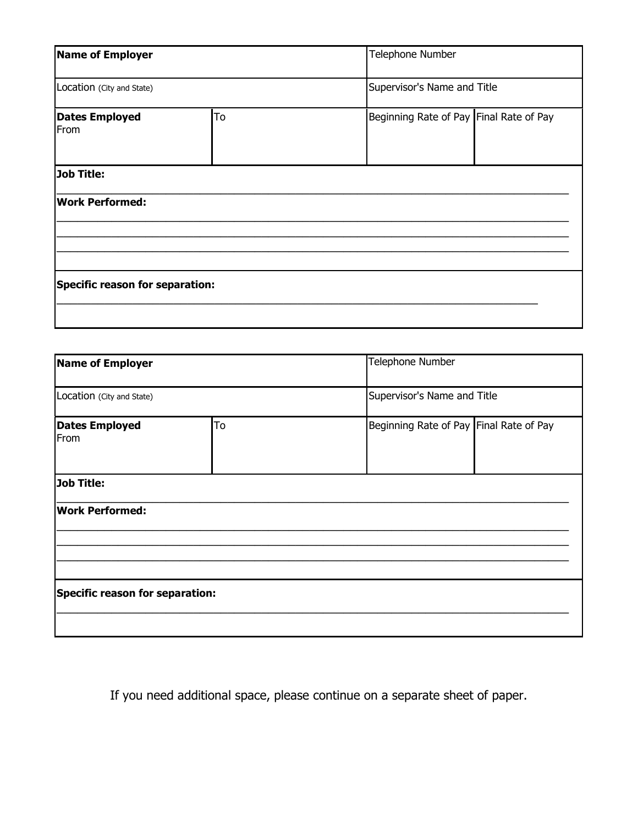| <b>Name of Employer</b><br>Location (City and State) |    | Telephone Number                        |
|------------------------------------------------------|----|-----------------------------------------|
|                                                      |    | Supervisor's Name and Title             |
| <b>Dates Employed</b><br>From                        | To | Beginning Rate of Pay Final Rate of Pay |
| <b>Job Title:</b>                                    |    |                                         |
| <b>Work Performed:</b>                               |    |                                         |
|                                                      |    |                                         |
| Specific reason for separation:                      |    |                                         |
|                                                      |    |                                         |

| <b>Name of Employer</b>             |  | Telephone Number                        |  |
|-------------------------------------|--|-----------------------------------------|--|
| Location (City and State)           |  | Supervisor's Name and Title             |  |
| To<br><b>Dates Employed</b><br>From |  | Beginning Rate of Pay Final Rate of Pay |  |
| <b>Job Title:</b>                   |  |                                         |  |
| <b>Work Performed:</b>              |  |                                         |  |
|                                     |  |                                         |  |
| Specific reason for separation:     |  |                                         |  |
|                                     |  |                                         |  |

If you need additional space, please continue on a separate sheet of paper.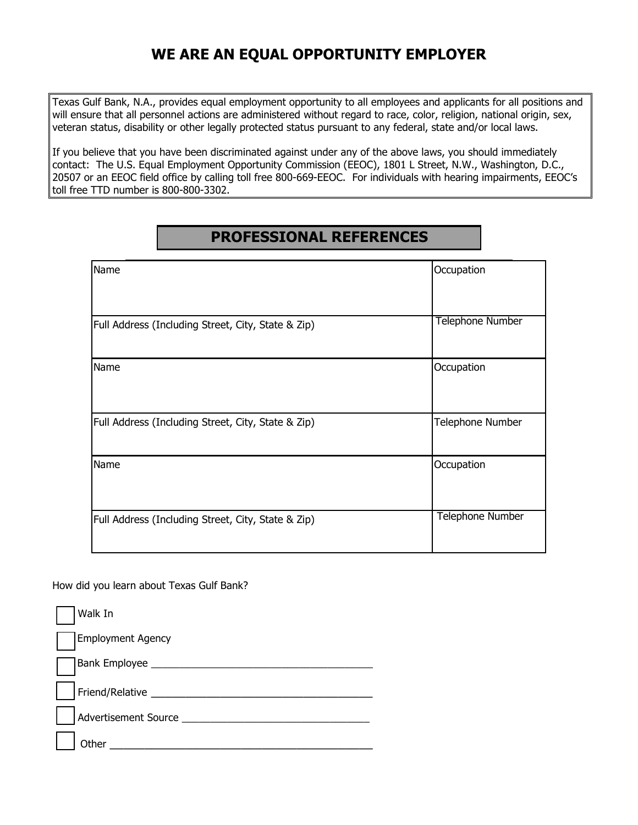# **WE ARE AN EQUAL OPPORTUNITY EMPLOYER**

Texas Gulf Bank, N.A., provides equal employment opportunity to all employees and applicants for all positions and will ensure that all personnel actions are administered without regard to race, color, religion, national origin, sex, veteran status, disability or other legally protected status pursuant to any federal, state and/or local laws.

If you believe that you have been discriminated against under any of the above laws, you should immediately contact: The U.S. Equal Employment Opportunity Commission (EEOC), 1801 L Street, N.W., Washington, D.C., 20507 or an EEOC field office by calling toll free 800-669-EEOC. For individuals with hearing impairments, EEOC's toll free TTD number is 800-800-3302.

# **PROFESSIONAL REFERENCES**

| Name                                               | Occupation              |
|----------------------------------------------------|-------------------------|
| Full Address (Including Street, City, State & Zip) | <b>Telephone Number</b> |
| Name                                               | Occupation              |
| Full Address (Including Street, City, State & Zip) | Telephone Number        |
| Name                                               | Occupation              |
| Full Address (Including Street, City, State & Zip) | Telephone Number        |

How did you learn about Texas Gulf Bank?

| Walk In                     |
|-----------------------------|
| <b>Employment Agency</b>    |
| Bank Employee __            |
| Friend/Relative _____       |
| <b>Advertisement Source</b> |
| )ther                       |